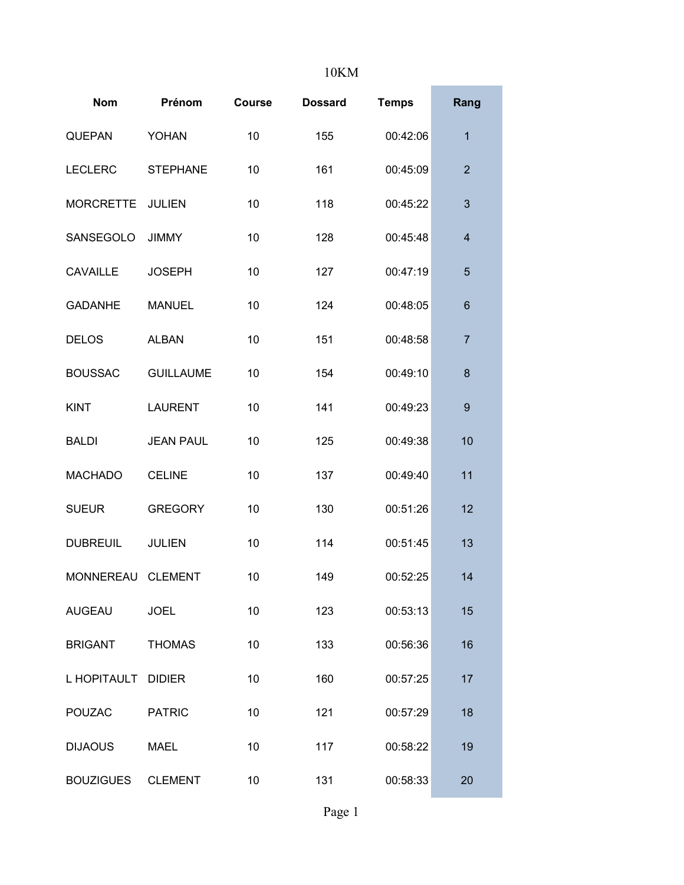## 10KM

| <b>Nom</b>         | Prénom           | <b>Course</b> | <b>Dossard</b> | <b>Temps</b> | Rang                    |
|--------------------|------------------|---------------|----------------|--------------|-------------------------|
| <b>QUEPAN</b>      | <b>YOHAN</b>     | 10            | 155            | 00:42:06     | $\overline{1}$          |
| <b>LECLERC</b>     | <b>STEPHANE</b>  | 10            | 161            | 00:45:09     | $\overline{2}$          |
| <b>MORCRETTE</b>   | <b>JULIEN</b>    | 10            | 118            | 00:45:22     | 3                       |
| SANSEGOLO          | <b>JIMMY</b>     | 10            | 128            | 00:45:48     | $\overline{\mathbf{4}}$ |
| <b>CAVAILLE</b>    | <b>JOSEPH</b>    | 10            | 127            | 00:47:19     | 5                       |
| <b>GADANHE</b>     | <b>MANUEL</b>    | 10            | 124            | 00:48:05     | $6\phantom{1}6$         |
| <b>DELOS</b>       | <b>ALBAN</b>     | 10            | 151            | 00:48:58     | 7                       |
| <b>BOUSSAC</b>     | <b>GUILLAUME</b> | 10            | 154            | 00:49:10     | 8                       |
| <b>KINT</b>        | <b>LAURENT</b>   | 10            | 141            | 00:49:23     | $\boldsymbol{9}$        |
| <b>BALDI</b>       | <b>JEAN PAUL</b> | 10            | 125            | 00:49:38     | 10                      |
| <b>MACHADO</b>     | <b>CELINE</b>    | 10            | 137            | 00:49:40     | 11                      |
| <b>SUEUR</b>       | <b>GREGORY</b>   | 10            | 130            | 00:51:26     | 12                      |
| <b>DUBREUIL</b>    | <b>JULIEN</b>    | 10            | 114            | 00:51:45     | 13                      |
| MONNEREAU          | <b>CLEMENT</b>   | 10            | 149            | 00:52:25     | 14                      |
| <b>AUGEAU</b>      | <b>JOEL</b>      | 10            | 123            | 00:53:13     | 15                      |
| <b>BRIGANT</b>     | <b>THOMAS</b>    | 10            | 133            | 00:56:36     | 16                      |
| L HOPITAULT DIDIER |                  | 10            | 160            | 00:57:25     | 17                      |
| <b>POUZAC</b>      | <b>PATRIC</b>    | 10            | 121            | 00:57:29     | 18                      |
| <b>DIJAOUS</b>     | MAEL             | 10            | 117            | 00:58:22     | 19                      |
| <b>BOUZIGUES</b>   | <b>CLEMENT</b>   | 10            | 131            | 00:58:33     | 20                      |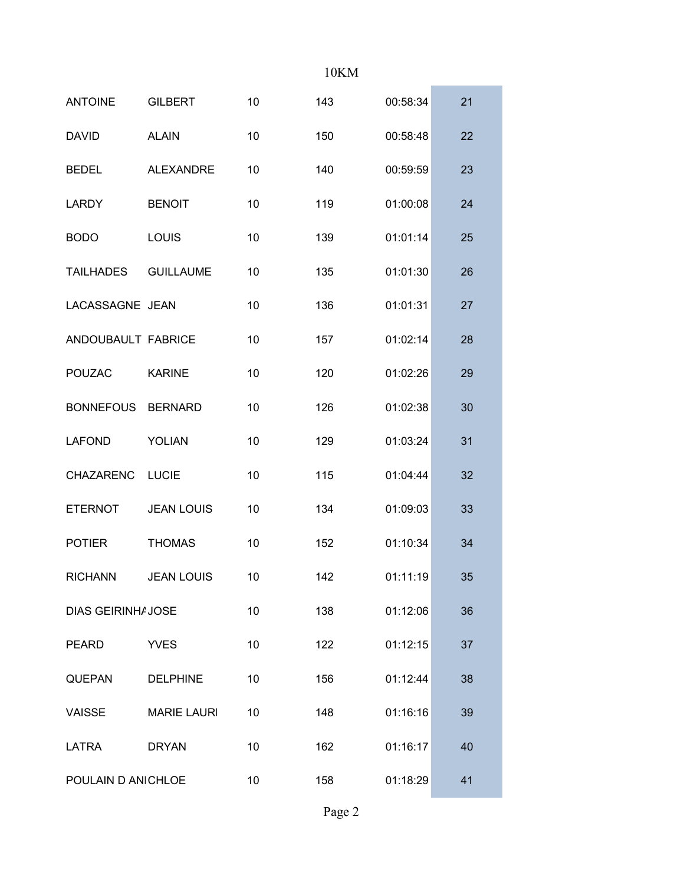## 10KM

| <b>ANTOINE</b>            | <b>GILBERT</b>     | 10 | 143 | 00:58:34 | 21 |
|---------------------------|--------------------|----|-----|----------|----|
| <b>DAVID</b>              | <b>ALAIN</b>       | 10 | 150 | 00:58:48 | 22 |
| <b>BEDEL</b>              | <b>ALEXANDRE</b>   | 10 | 140 | 00:59:59 | 23 |
| <b>LARDY</b>              | <b>BENOIT</b>      | 10 | 119 | 01:00:08 | 24 |
| <b>BODO</b>               | <b>LOUIS</b>       | 10 | 139 | 01:01:14 | 25 |
| <b>TAILHADES</b>          | <b>GUILLAUME</b>   | 10 | 135 | 01:01:30 | 26 |
| LACASSAGNE JEAN           |                    | 10 | 136 | 01:01:31 | 27 |
| ANDOUBAULT FABRICE        |                    | 10 | 157 | 01:02:14 | 28 |
| <b>POUZAC</b>             | <b>KARINE</b>      | 10 | 120 | 01:02:26 | 29 |
| <b>BONNEFOUS</b>          | <b>BERNARD</b>     | 10 | 126 | 01:02:38 | 30 |
| <b>LAFOND</b>             | <b>YOLIAN</b>      | 10 | 129 | 01:03:24 | 31 |
| <b>CHAZARENC</b>          | <b>LUCIE</b>       | 10 | 115 | 01:04:44 | 32 |
| <b>ETERNOT</b>            | <b>JEAN LOUIS</b>  | 10 | 134 | 01:09:03 | 33 |
| <b>POTIER</b>             | <b>THOMAS</b>      | 10 | 152 | 01:10:34 | 34 |
| <b>RICHANN</b>            | <b>JEAN LOUIS</b>  | 10 | 142 | 01:11:19 | 35 |
| <b>DIAS GEIRINHA JOSE</b> |                    | 10 | 138 | 01:12:06 | 36 |
| <b>PEARD</b>              | <b>YVES</b>        | 10 | 122 | 01:12:15 | 37 |
| <b>QUEPAN</b>             | <b>DELPHINE</b>    | 10 | 156 | 01:12:44 | 38 |
| <b>VAISSE</b>             | <b>MARIE LAURI</b> | 10 | 148 | 01:16:16 | 39 |
| LATRA                     | <b>DRYAN</b>       | 10 | 162 | 01:16:17 | 40 |
| POULAIN D AN CHLOE        |                    | 10 | 158 | 01:18:29 | 41 |